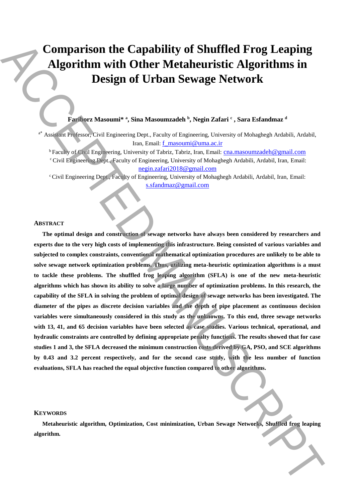# **Comparison the Capability of Shuffled Frog Leaping Algorithm with Other Metaheuristic Algorithms in Design of Urban Sewage Network**

**Fariborz Masoumi\* <sup>a</sup> , Sina Masoumzadeh <sup>b</sup> , Negin Zafari <sup>c</sup> , Sara Esfandmaz <sup>d</sup>**

<sup>a\*</sup> Assistant Professor, Civil Engineering Dept., Faculty of Engineering, University of Mohaghegh Ardabili, Ardabil, Iran, Email: f\_masoumi@uma.ac.ir

<sup>b</sup> Faculty of Civil Engineering, University of Tabriz, Tabriz, Iran, Email: cna.masoumzadeh@gmail.com <sup>c</sup>Civil Engineering Dept., Faculty of Engineering, University of Mohaghegh Ardabili, Ardabil, Iran, Email: negin.zafari2018@gmail.com

<sup>c</sup> Civil Engineering Dept., Faculty of Engineering, University of Mohaghegh Ardabili, Ardabil, Iran, Email: s.sfandmaz@gmail.com

#### **ABSTRACT**

**The optimal design and construction of sewage networks have always been considered by researchers and experts due to the very high costs of implementing this infrastructure. Being consisted of various variables and subjected to complex constraints, conventional mathematical optimization procedures are unlikely to be able to solve sewage network optimization problems. Thus, utilizing meta-heuristic optimization algorithms is a must to tackle these problems. The shuffled frog leaping algorithm (SFLA) is one of the new meta-heuristic algorithms which has shown its ability to solve a large number of optimization problems. In this research, the capability of the SFLA in solving the problem of optimal design of sewage networks has been investigated. The diameter of the pipes as discrete decision variables and the depth of pipe placement as continuous decision variables were simultaneously considered in this study as the unknowns. To this end, three sewage networks with 13, 41, and 65 decision variables have been selected as case studies. Various technical, operational, and hydraulic constraints are controlled by defining appropriate penalty functions. The results showed that for case studies 1 and 3, the SFLA decreased the minimum construction costs derived by GA, PSO, and SCE algorithms by 0.43 and 3.2 percent respectively, and for the second case study, with the less number of function evaluations, SFLA has reached the equal objective function compared to other algorithms. Example 19 (2014)** Comparison the Capability of Shuffled Frog Leaping<br>Algorithm with Other Metaheuristic Algorithms in<br>Design of Urban Sewage Network<br>
The Metaheuristic Algorithms in<br>
The Metaheuristic Source of the Compa

## **KEYWORDS**

**Metaheuristic algorithm, Optimization, Cost minimization, Urban Sewage Networks, Shuffled frog leaping**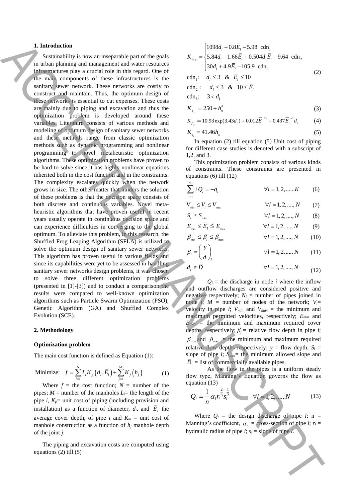#### **1. Introduction**

Sustainability is now an inseparable part of the goals in urban planning and management and water resources infrastructures play a crucial role in this regard. One of the main components of these infrastructures is the sanitary sewer network. These networks are costly to construct and maintain. Thus, the optimum design of these networks is essential to cut expenses. These costs are mainly due to piping and excavation and thus the optimization problem is developed around these variables. Literature consists of various methods and modeling of optimum design of sanitary sewer networks and these methods range from classic optimization methods such as dynamic programming and nonlinear programming to novel metaheuristic optimization algorithms. These optimization problems have proven to be hard to solve since it has highly nonlinear equations inherited both in the cost function and in the constraints. The complexity escalates quickly when the network grows in size. The other matter that hinders the solution of these problems is that the decision space consists of both discrete and continuous variables. Novel metaheuristic algorithms that have proven useful in recent years usually operate in continuous decision space and can experience difficulties in converging to the global optimum. To alleviate this problem, in this research, the Shuffled Frog Leaping Algorithm (SFLA) is utilized to solve the optimum design of sanitary sewer networks. This algorithm has proven useful in various fields and since its capabilities were yet to be assessed in handling sanitary sewer networks design problems, it was chosen to solve three different optimization problems (presented in [1]-[3]) and to conduct a comparison the results were compared to well-known optimization algorithms such as Particle Swarm Optimization (PSO), Genetic Algorithm (GA) and Shuffled Complex Evolution (SCE). ACCEPTED MANUSCRIPT

#### **2. Methodology**

#### **Optimization problem**

The main cost function is defined as Equation (1):

Minimize: 
$$
f = \sum_{i=1}^{N} L_i K_p (d_i, \overline{E}_i) + \sum_{j=1}^{M} K_j (h_j)
$$
 (1)

Where  $f =$  the cost function;  $N =$  number of the pipes;  $M =$  number of the manholes  $L_i =$  the length of the pipe *i*,  $K_p$ = unit cost of piping (including provision and installation) as a function of diameter,  $d_i$ , and  $\overline{E}_i$  the average cover depth, of pipe *i* and  $K_m$  = unit cost of manhole construction as a function of  $h_j$  manhole depth of the joint *j*.

The piping and excavation costs are computed using equations (2) till (5)

$$
K_{p_{1,2}} = \begin{cases} 1098d_1 + 0.8\overline{E}_l - 5.98 \text{ cdn}_1 \\ 5.84d_1 + 1.66\overline{E}_l + 0.504d_l\overline{E}_l - 9.64 \text{ cdn}_2 \\ 30d_1 + 4.9\overline{E}_l - 105.9 \text{ cdn}_3 \end{cases}
$$
  
cdn<sub>1</sub>:  $d_l \le 3$  &  $\overline{E}_l \le 10$  (2)

$$
\begin{aligned}\n\text{cdn}_2: \quad d_i &\leq 3 \quad \&\quad 10 \leq \overline{E}_i \\
\text{cdn}_3: \quad 3 < d_i \\
K_{j_{13}} &= 250 + h_m^2\n\end{aligned}
$$

1,2

3

$$
K_{p_3} = 10.93 \exp(3.43d_1) + 0.012 \overline{E}_1^{1.53} + 0.437 \overline{E}_1^{1.47} d_1 \tag{4}
$$

(3)

$$
K_{i} = 41.46h_m \tag{5}
$$

In equation (2) till equation (5) Unit cost of piping for different case studies is denoted with a subscript of 1,2, and 3.

This optimization problem consists of various kinds of constraints. These constraints are presented in equations (6) till (12)

$$
\sum_{j=1}^{N_i} \pm Q_i = -q_i \qquad \forall i = 1, 2, \dots, K \qquad (6)
$$

$$
V_{\min} \le V_l \le V_{\max} \qquad \qquad \forall l = 1, 2, \dots, N \qquad (7)
$$
\n
$$
S \ge S \qquad \qquad \forall l = 1, 2, \dots, N \qquad (8)
$$

$$
S_l \ge S_{\min} \qquad \qquad \forall l = 1, 2, \dots, N \qquad (8)
$$
  

$$
E_{\perp} \le \overline{E}_l \le E \qquad \qquad \forall l = 1, 2, \dots, N \qquad (9)
$$

$$
\beta_{\min} = -l = -\max_{\max} \qquad \qquad (2)
$$
  

$$
\beta_{\min} \le \beta_l \le \beta_{\max} \qquad \qquad \forall l = 1, 2, ..., N \qquad (10)
$$

$$
\beta_l = \left(\frac{y}{d}\right)_l \qquad \forall l = 1, 2, \dots, N \qquad (11)
$$

$$
d_i \in \overline{D} \qquad \qquad \forall l = 1, 2, \dots, N \qquad (12)
$$

 $Q_i$  = the discharge in node *i* where the inflow and outflow discharges are considered positive and negative respectively;  $N_i$  = number of pipes joined in node *i*;  $M =$  number of nodes of the network;  $V_i =$ velocity in pipe *i*;  $V_{min}$  and  $V_{max}$  = the minimum and maximum permitted velocities, respectively; *Emin* and  $E_{max}$  = the minimum and maximum required cover depths, respectively;  $\beta_i$  = relative flow depth in pipe *i*;  $\beta_{\text{min}}$  and  $\beta_{\text{max}}$  = the minimum and maximum required relative flow depths respectively;  $y =$  flow depth;  $S_l =$ slope of pipe  $i$ ;  $S_{min}$  the minimum allowed slope and  $D =$  list of commercially available pipes.

As the flow in the pipes is a uniform steady flow type, Manning's Equation governs the flow as equation (13)

$$
Q_l = \frac{1}{n} \alpha_l r_l^{\frac{2}{3}} s_l^{\frac{1}{2}} \qquad \forall l = 1, 2, ..., N \qquad (13)
$$

Where  $Q_l$  = the design discharge of pipe *l*; n = Manning's coefficient,  $\alpha_i$  = cross-section of pipe *l*;  $r_l$  = hydraulic radius of pipe  $l$ ;  $s_l$  = slope of pipe  $l$ .